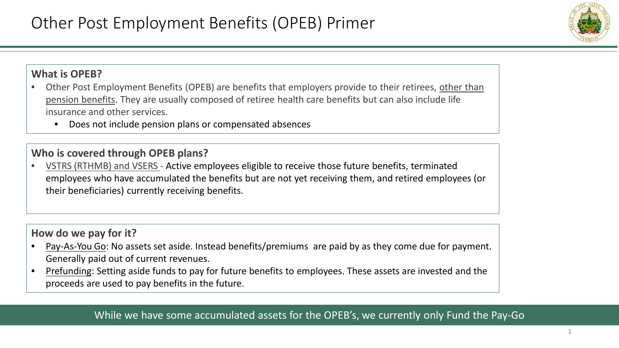

### **What is OPEB?**

- Other Post Employment Benefits (OPEB) are benefits that employers provide to their retirees, other than pension benefits. They are usually composed of retiree health care benefits but can also include life insurance and other services.
	- Does not include pension plans or compensated absences

### **Who is covered through OPEB plans?**

• VSTRS (RTHMB) and VSERS - Active employees eligible to receive those future benefits, terminated employees who have accumulated the benefits but are not yet receiving them, and retired employees (or their beneficiaries) currently receiving benefits.

## **How do we pay for it?**

- Pay-As-You Go: No assets set aside. Instead benefits/premiums are paid by as they come due for payment. Generally paid out of current revenues.
- Prefunding: Setting aside funds to pay for future benefits to employees. These assets are invested and the proceeds are used to pay benefits in the future.

# While we have some accumulated assets for the OPEB's, we currently only Fund the Pay-Go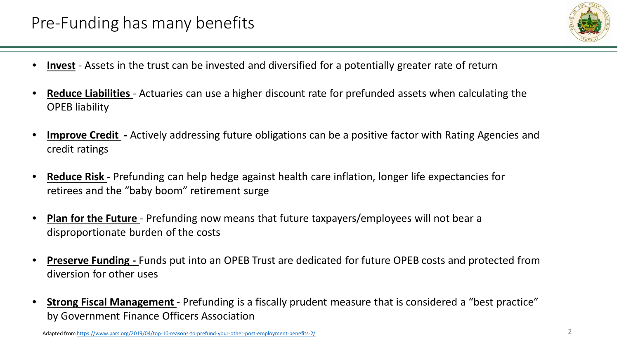

- **Invest** Assets in the trust can be invested and diversified for a potentially greater rate of return
- **Reduce Liabilities**  Actuaries can use a higher discount rate for prefunded assets when calculating the OPEB liability
- **Improve Credit -** Actively addressing future obligations can be a positive factor with Rating Agencies and credit ratings
- **Reduce Risk**  Prefunding can help hedge against health care inflation, longer life expectancies for retirees and the "baby boom" retirement surge
- **Plan for the Future**  Prefunding now means that future taxpayers/employees will not bear a disproportionate burden of the costs
- **Preserve Funding -** Funds put into an OPEB Trust are dedicated for future OPEB costs and protected from diversion for other uses
- **Strong Fiscal Management**  Prefunding is a fiscally prudent measure that is considered a "best practice" by Government Finance Officers Association